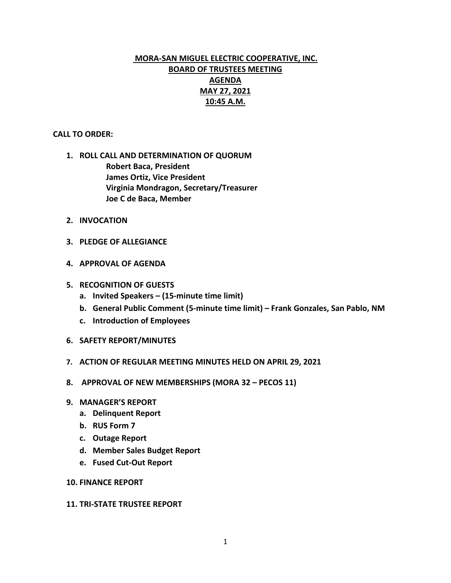# **MORA-SAN MIGUEL ELECTRIC COOPERATIVE, INC. BOARD OF TRUSTEES MEETING AGENDA MAY 27, 2021 10:45 A.M.**

## **CALL TO ORDER:**

- **1. ROLL CALL AND DETERMINATION OF QUORUM Robert Baca, President James Ortiz, Vice President Virginia Mondragon, Secretary/Treasurer Joe C de Baca, Member**
- **2. INVOCATION**
- **3. PLEDGE OF ALLEGIANCE**
- **4. APPROVAL OF AGENDA**
- **5. RECOGNITION OF GUESTS**
	- **a. Invited Speakers – (15-minute time limit)**
	- **b. General Public Comment (5-minute time limit) – Frank Gonzales, San Pablo, NM**
	- **c. Introduction of Employees**
- **6. SAFETY REPORT/MINUTES**
- **7. ACTION OF REGULAR MEETING MINUTES HELD ON APRIL 29, 2021**
- **8. APPROVAL OF NEW MEMBERSHIPS (MORA 32 – PECOS 11)**
- **9. MANAGER'S REPORT**
	- **a. Delinquent Report**
	- **b. RUS Form 7**
	- **c. Outage Report**
	- **d. Member Sales Budget Report**
	- **e. Fused Cut-Out Report**
- **10. FINANCE REPORT**

#### **11. TRI-STATE TRUSTEE REPORT**